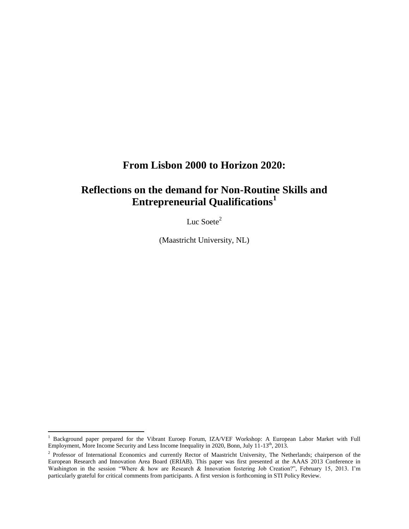# **From Lisbon 2000 to Horizon 2020:**

# **Reflections on the demand for Non-Routine Skills and Entrepreneurial Qualifications<sup>1</sup>**

Luc Soete<sup>2</sup>

(Maastricht University, NL)

<sup>&</sup>lt;sup>1</sup> Background paper prepared for the Vibrant Euroep Forum, IZA/VEF Workshop: A European Labor Market with Full Employment, More Income Security and Less Income Inequality in 2020, Bonn, July 11-13<sup>th</sup>, 2013.

<sup>&</sup>lt;sup>2</sup> Professor of International Economics and currently Rector of Maastricht University, The Netherlands; chairperson of the European Research and Innovation Area Board (ERIAB). This paper was first presented at the AAAS 2013 Conference in Washington in the session "Where & how are Research & Innovation fostering Job Creation?", February 15, 2013. I'm particularly grateful for critical comments from participants. A first version is forthcoming in STI Policy Review.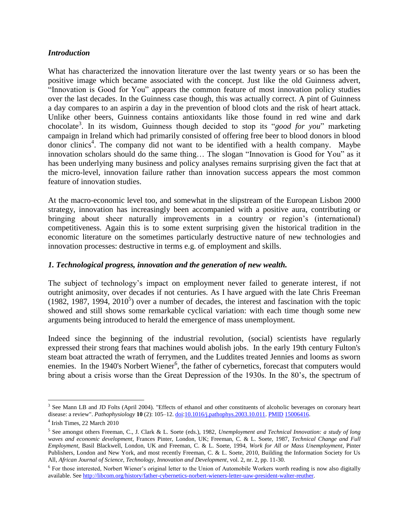### *Introduction*

What has characterized the innovation literature over the last twenty years or so has been the positive image which became associated with the concept. Just like the old Guinness advert, "Innovation is Good for You" appears the common feature of most innovation policy studies over the last decades. In the Guinness case though, this was actually correct. A pint of Guinness a day compares to an aspirin a day in the prevention of blood clots and the risk of heart attack. Unlike other beers, Guinness contains antioxidants like those found in red wine and dark chocolate<sup>3</sup>. In its wisdom, Guinness though decided to stop its "*good for you*" marketing campaign in Ireland which had primarily consisted of offering free beer to blood donors in blood donor clinics<sup>4</sup>. The company did not want to be identified with a health company. Maybe innovation scholars should do the same thing… The slogan "Innovation is Good for You" as it has been underlying many business and policy analyses remains surprising given the fact that at the micro-level, innovation failure rather than innovation success appears the most common feature of innovation studies.

At the macro-economic level too, and somewhat in the slipstream of the European Lisbon 2000 strategy, innovation has increasingly been accompanied with a positive aura, contributing or bringing about sheer naturally improvements in a country or region's (international) competitiveness. Again this is to some extent surprising given the historical tradition in the economic literature on the sometimes particularly destructive nature of new technologies and innovation processes: destructive in terms e.g. of employment and skills.

### *1. Technological progress, innovation and the generation of new wealth.*

The subject of technology's impact on employment never failed to generate interest, if not outright animosity, over decades if not centuries. As I have argued with the late Chris Freeman  $(1982, 1987, 1994, 2010<sup>5</sup>)$  over a number of decades, the interest and fascination with the topic showed and still shows some remarkable cyclical variation: with each time though some new arguments being introduced to herald the emergence of mass unemployment.

Indeed since the beginning of the industrial revolution, (social) scientists have regularly expressed their strong fears that machines would abolish jobs. In the early 19th century Fulton's steam boat attracted the wrath of ferrymen, and the Luddites treated Jennies and looms as sworn enemies. In the 1940's Norbert Wiener<sup>6</sup>, the father of cybernetics, forecast that computers would bring about a crisis worse than the Great Depression of the 1930s. In the 80"s, the spectrum of

<sup>&</sup>lt;sup>3</sup> See Mann LB and JD Folts (April 2004). "Effects of ethanol and other constituents of alcoholic beverages on coronary heart disease: a review". *Pathophysiology* **10** (2): 105–12[. doi](http://en.wikipedia.org/wiki/Digital_object_identifier)[:10.1016/j.pathophys.2003.10.011.](http://dx.doi.org/10.1016%2Fj.pathophys.2003.10.011) [PMID](http://en.wikipedia.org/wiki/PubMed_Identifier) [15006416.](http://www.ncbi.nlm.nih.gov/pubmed/15006416)

<sup>4</sup> Irish Times, 22 March 2010

<sup>5</sup> See amongst others Freeman, C., J. Clark & L. Soete (eds.), 1982, *Unemployment and Technical Innovation: a study of long waves and economic development*, Frances Pinter, London, UK; Freeman, C. & L. Soete, 1987, *Technical Change and Full Employment*, Basil Blackwell, London, UK and Freeman, C. & L. Soete, 1994, *Work for All or Mass Unemployment*, Pinter Publishers, London and New York, and most recently Freeman, C. & L. Soete, 2010, Building the Information Society for Us All, *African Journal of Science, Technology, Innovation and Development*, vol. 2, nr. 2, pp. 11-30.

<sup>&</sup>lt;sup>6</sup> For those interested, Norbert Wiener's original letter to the Union of Automobile Workers worth reading is now also digitally available. See [http://libcom.org/history/father-cybernetics-norbert-wieners-letter-uaw-president-walter-reuther.](http://libcom.org/history/father-cybernetics-norbert-wieners-letter-uaw-president-walter-reuther)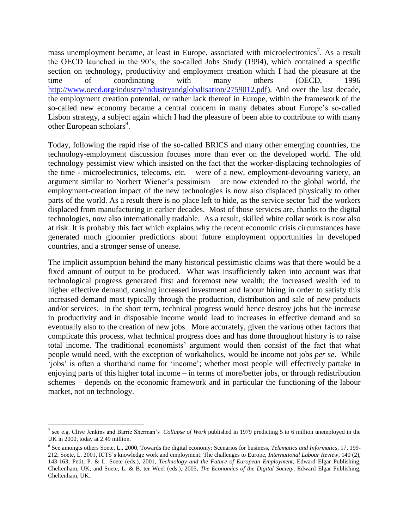mass unemployment became, at least in Europe, associated with microelectronics<sup>7</sup>. As a result the OECD launched in the 90"s, the so-called Jobs Study (1994), which contained a specific section on technology, productivity and employment creation which I had the pleasure at the time of coordinating with many others (OECD, 1996 [http://www.oecd.org/industry/industryandglobalisation/2759012.pdf\)](http://www.oecd.org/industry/industryandglobalisation/2759012.pdf). And over the last decade, the employment creation potential, or rather lack thereof in Europe, within the framework of the so-called new economy became a central concern in many debates about Europe's so-called Lisbon strategy, a subject again which I had the pleasure of been able to contribute to with many other European scholars $8$ .

Today, following the rapid rise of the so-called BRICS and many other emerging countries, the technology-employment discussion focuses more than ever on the developed world. The old technology pessimist view which insisted on the fact that the worker-displacing technologies of the time - microelectronics, telecoms, etc. – were of a new, employment-devouring variety, an argument similar to Norbert Wiener"s pessimism – are now extended to the global world, the employment-creation impact of the new technologies is now also displaced physically to other parts of the world. As a result there is no place left to hide, as the service sector 'hid' the workers displaced from manufacturing in earlier decades. Most of those services are, thanks to the digital technologies, now also internationally tradable. As a result, skilled white collar work is now also at risk. It is probably this fact which explains why the recent economic crisis circumstances have generated much gloomier predictions about future employment opportunities in developed countries, and a stronger sense of unease.

The implicit assumption behind the many historical pessimistic claims was that there would be a fixed amount of output to be produced. What was insufficiently taken into account was that technological progress generated first and foremost new wealth; the increased wealth led to higher effective demand, causing increased investment and labour hiring in order to satisfy this increased demand most typically through the production, distribution and sale of new products and/or services. In the short term, technical progress would hence destroy jobs but the increase in productivity and in disposable income would lead to increases in effective demand and so eventually also to the creation of new jobs. More accurately, given the various other factors that complicate this process, what technical progress does and has done throughout history is to raise total income. The traditional economists' argument would then consist of the fact that what people would need, with the exception of workaholics, would be income not jobs *per se*. While 'jobs' is often a shorthand name for 'income'; whether most people will effectively partake in enjoying parts of this higher total income – in terms of more/better jobs, or through redistribution schemes – depends on the economic framework and in particular the functioning of the labour market, not on technology.

<sup>&</sup>lt;sup>7</sup> see e.g. Clive Jenkins and Barrie Sherman's *Collapse of Work* published in 1979 predicting 5 to 6 million unemployed in the UK in 2000, today at 2.49 million.

<sup>8</sup> See amongts others Soete, L., 2000, Towards the digital economy: Scenarios for business, *Telematics and Informatics*, 17, 199- 212; Soete, L. 2001, ICTS"s knowledge work and employment: The challenges to Europe, *International Labour Review*, 140 (2), 143-163; Petit, P. & L. Soete (eds.), 2001, *Technology and the Future of European Employment*, Edward Elgar Publishing, Cheltenham, UK; and Soete, L. & B. ter Weel (eds.), 2005, *The Economics of the Digital Society*, Edward Elgar Publishing, Cheltenham, UK.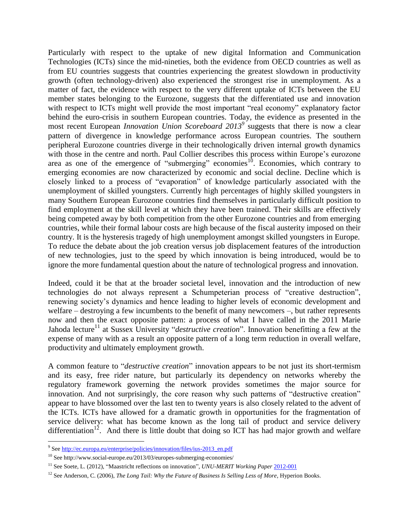Particularly with respect to the uptake of new digital Information and Communication Technologies (ICTs) since the mid-nineties, both the evidence from OECD countries as well as from EU countries suggests that countries experiencing the greatest slowdown in productivity growth (often technology-driven) also experienced the strongest rise in unemployment. As a matter of fact, the evidence with respect to the very different uptake of ICTs between the EU member states belonging to the Eurozone, suggests that the differentiated use and innovation with respect to ICTs might well provide the most important "real economy" explanatory factor behind the euro-crisis in southern European countries. Today, the evidence as presented in the most recent European *Innovation Union Scoreboard 2013<sup>9</sup>* suggests that there is now a clear pattern of divergence in knowledge performance across European countries. The southern peripheral Eurozone countries diverge in their technologically driven internal growth dynamics with those in the centre and north. Paul Collier describes this process within Europe's eurozone area as one of the emergence of "submerging" economies<sup>10</sup>. Economies, which contrary to emerging economies are now characterized by economic and social decline. Decline which is closely linked to a process of "evaporation" of knowledge particularly associated with the unemployment of skilled youngsters. Currently high percentages of highly skilled youngsters in many Southern European Eurozone countries find themselves in particularly difficult position to find employment at the skill level at which they have been trained. Their skills are effectively being competed away by both competition from the other Eurozone countries and from emerging countries, while their formal labour costs are high because of the fiscal austerity imposed on their country. It is the hysteresis tragedy of high unemployment amongst skilled youngsters in Europe. To reduce the debate about the job creation versus job displacement features of the introduction of new technologies, just to the speed by which innovation is being introduced, would be to ignore the more fundamental question about the nature of technological progress and innovation.

Indeed, could it be that at the broader societal level, innovation and the introduction of new technologies do not always represent a Schumpeterian process of "creative destruction", renewing society"s dynamics and hence leading to higher levels of economic development and welfare – destroying a few incumbents to the benefit of many newcomers –, but rather represents now and then the exact opposite pattern: a process of what I have called in the 2011 Marie Jahoda lecture<sup>11</sup> at Sussex University "*destructive creation*". Innovation benefitting a few at the expense of many with as a result an opposite pattern of a long term reduction in overall welfare, productivity and ultimately employment growth.

A common feature to "*destructive creation*" innovation appears to be not just its short-termism and its easy, free rider nature, but particularly its dependency on networks whereby the regulatory framework governing the network provides sometimes the major source for innovation. And not surprisingly, the core reason why such patterns of "destructive creation" appear to have blossomed over the last ten to twenty years is also closely related to the advent of the ICTs. ICTs have allowed for a dramatic growth in opportunities for the fragmentation of service delivery: what has become known as the long tail of product and service delivery differentiation<sup>12</sup>. And there is little doubt that doing so ICT has had major growth and welfare

<sup>&</sup>lt;sup>9</sup> See <u>http://ec.europa.eu/enterprise/policies/innovation/files/ius-2013\_en.pdf</u>

<sup>10</sup> See http://www.social-europe.eu/2013/03/europes-submerging-economies/

<sup>&</sup>lt;sup>11</sup> See Soete, L. (2012), "Maastricht reflections on innovation", *UNU-MERIT Working Paper* [2012-001](http://www.merit.unu.edu/publications/wppdf/2012/wp2012-001.pdf)

<sup>&</sup>lt;sup>12</sup> See Anderson, C. (2006), *The Long Tail: Why the Future of Business Is Selling Less of More*, Hyperion Books.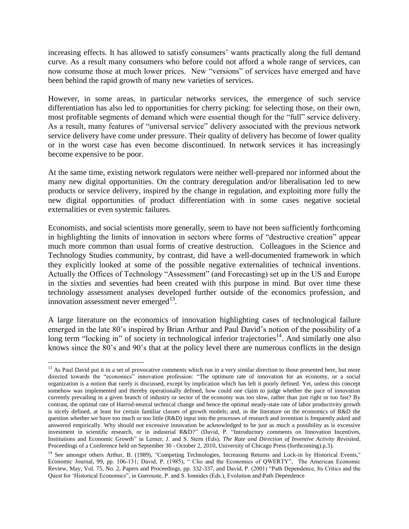increasing effects. It has allowed to satisfy consumers' wants practically along the full demand curve. As a result many consumers who before could not afford a whole range of services, can now consume those at much lower prices. New "versions" of services have emerged and have been behind the rapid growth of many new varieties of services.

However, in some areas, in particular networks services, the emergence of such service differentiation has also led to opportunities for cherry picking: for selecting those, on their own, most profitable segments of demand which were essential though for the "full" service delivery. As a result, many features of "universal service" delivery associated with the previous network service delivery have come under pressure. Their quality of delivery has become of lower quality or in the worst case has even become discontinued. In network services it has increasingly become expensive to be poor.

At the same time, existing network regulators were neither well-prepared nor informed about the many new digital opportunities. On the contrary deregulation and/or liberalisation led to new products or service delivery, inspired by the change in regulation, and exploiting more fully the new digital opportunities of product differentiation with in some cases negative societal externalities or even systemic failures.

Economists, and social scientists more generally, seem to have not been sufficiently forthcoming in highlighting the limits of innovation in sectors where forms of "destructive creation" appear much more common than usual forms of creative destruction. Colleagues in the Science and Technology Studies community, by contrast, did have a well-documented framework in which they explicitly looked at some of the possible negative externalities of technical inventions. Actually the Offices of Technology "Assessment" (and Forecasting) set up in the US and Europe in the sixties and seventies had been created with this purpose in mind. But over time these technology assessment analyses developed further outside of the economics profession, and innovation assessment never emerged $^{13}$ .

A large literature on the economics of innovation highlighting cases of technological failure emerged in the late 80"s inspired by Brian Arthur and Paul David"s notion of the possibility of a long term "locking in" of society in technological inferior trajectories<sup>14</sup>. And similarly one also knows since the 80"s and 90"s that at the policy level there are numerous conflicts in the design

<sup>&</sup>lt;sup>13</sup> As Paul David put it in a set of provocative comments which run in a very similar direction to those presented here, but more directed towards the "economics" innovation profession: "The optimum rate of innovation for an economy, or a social organization is a notion that rarely is discussed, except by implication which has left it poorly defined. Yet, unless this concept somehow was implemented and thereby operationally defined, how could one claim to judge whether the pace of innovation currently prevailing in a given branch of industry or sector of the economy was too slow, rather than just right or too fast? By contrast, the optimal rate of Harrod-neutral technical change and hence the optimal steady-state rate of labor productivity growth is nicely defined, at least for certain familiar classes of growth models; and, in the literature on the economics of R&D the question whether we have too much or too little (R&D) input into the processes of research and invention is frequently asked and answered empirically. Why should not excessive innovation be acknowledged to be just as much a possibility as is excessive investment in scientific research, or in industrial R&D?" (David, P. "Introductory comments on Innovation Incentives, Institutions and Economic Growth" in Lerner, J. and S. Stern (Eds), *The Rate and Direction of Inventive Activity Revisited*, Proceedings of a Conference held on September 30 - October 2, 2010, University of Chicago Press (forthcoming).p.3).

<sup>&</sup>lt;sup>14</sup> See amongst others Arthur, B. (1989), "Competing Technologies, Increasing Returns and Lock-in by Historical Events," Economic Journal, 99, pp. 106-131; David, P. (1985), " Clio and the Economics of QWERTY", The American Economic Review, May, Vol. 75, No. 2, Papers and Proceedings, pp. 332-337, and David, P. (2001) "Path Dependence, Its Critics and the Quest for "Historical Economics", in Garrouste, P. and S. Ionnides (Eds.), Evolution and\Path Dependence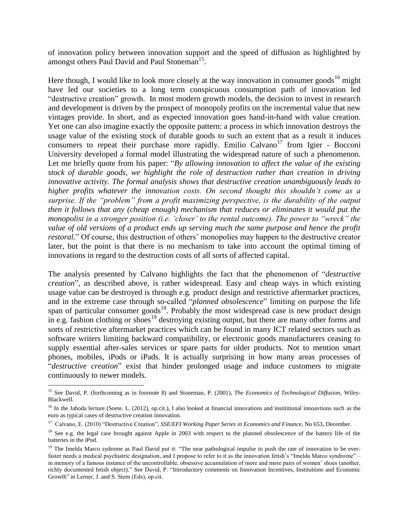of innovation policy between innovation support and the speed of diffusion as highlighted by amongst others Paul David and Paul Stoneman<sup>15</sup>.

Here though, I would like to look more closely at the way innovation in consumer goods<sup>16</sup> might have led our societies to a long term conspicuous consumption path of innovation led "destructive creation" growth. In most modern growth models, the decision to invest in research and development is driven by the prospect of monopoly profits on the incremental value that new vintages provide. In short, and as expected innovation goes hand-in-hand with value creation. Yet one can also imagine exactly the opposite pattern: a process in which innovation destroys the usage value of the existing stock of durable goods to such an extent that as a result it induces consumers to repeat their purchase more rapidly. Emilio Calvano<sup>17</sup> from Igier - Bocconi University developed a formal model illustrating the widespread nature of such a phenomenon. Let me briefly quote from his paper: "*By allowing innovation to affect the value of the existing stock of durable goods, we highlight the role of destruction rather than creation in driving innovative activity. The formal analysis shows that destructive creation unambiguously leads to higher profits whatever the innovation costs. On second thought this shouldn"t come as a surprise. If the "problem" from a profit maximizing perspective, is the durability of the output then it follows that any (cheap enough) mechanism that reduces or eliminates it would put the monopolist in a stronger position (i.e. 'closer' to the rental outcome). The power to "wreck" the value of old versions of a product ends up serving much the same purpose and hence the profit restoral.*" Of course, this destruction of others' monopolies may happen to the destructive creator later, but the point is that there is no mechanism to take into account the optimal timing of innovations in regard to the destruction costs of all sorts of affected capital.

The analysis presented by Calvano highlights the fact that the phenomenon of "*destructive creation*", as described above, is rather widespread. Easy and cheap ways in which existing usage value can be destroyed is through e.g. product design and restrictive aftermarket practices, and in the extreme case through so-called "*planned obsolescence*" limiting on purpose the life span of particular consumer goods<sup>18</sup>. Probably the most widespread case is new product design in e.g. fashion clothing or shoes<sup>19</sup> destroying existing output, but there are many other forms and sorts of restrictive aftermarket practices which can be found in many ICT related sectors such as software writers limiting backward compatibility, or electronic goods manufacturers ceasing to supply essential after-sales services or spare parts for older products. Not to mention smart phones, mobiles, iPods or iPads. It is actually surprising in how many areas processes of "*destructive creation*" exist that hinder prolonged usage and induce customers to migrate continuously to newer models.

<sup>15</sup> See David, P. (forthcoming as in foornote 8) and Stoneman, P. (2001), *The Economics of Technological Diffusion*, Wiley-Blackwell.

<sup>&</sup>lt;sup>16</sup> In the Jahoda lecture (Soete. L. (2012), op.cit.), I also looked at financial innovations and instititional innoavtions such as the euro as typical cases of destructive creation innovation.

<sup>17</sup> Calvano, E. (2010) "Destructive Creation", *SSE/EFI Working Paper Series in Economics and Finance*, No 653, December.

<sup>&</sup>lt;sup>18</sup> See e.g. the legal case brought against Apple in 2003 with respect to the planned obsolescence of the battery life of the batteries in the iPod.

 $19$  The Imelda Marco sydrome as Paul David put it: "The near pathological impulse to push the rate of innovation to be everfaster needs a medical psychiatric designation, and I propose to refer to it as the innovation fetish"s "Imelda Marco syndrome" – in memory of a famous instance of the uncontrollable, obsessive accumulation of more and more pairs of women" shoes (another, richly documented fetish object)." See David, P. "Introductory comments on Innovation Incentives, Institutions and Economic Growth" in Lerner, J. and S. Stern (Eds), op.cit.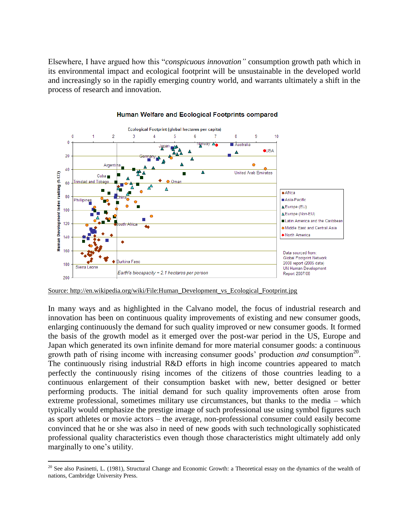Elsewhere, I have argued how this "*conspicuous innovation"* consumption growth path which in its environmental impact and ecological footprint will be unsustainable in the developed world and increasingly so in the rapidly emerging country world, and warrants ultimately a shift in the process of research and innovation.



#### Human Welfare and Ecological Footprints compared

Source: http://en.wikipedia.org/wiki/File:Human\_Development\_vs\_Ecological\_Footprint.jpg

In many ways and as highlighted in the Calvano model, the focus of industrial research and innovation has been on continuous quality improvements of existing and new consumer goods, enlarging continuously the demand for such quality improved or new consumer goods. It formed the basis of the growth model as it emerged over the post-war period in the US, Europe and Japan which generated its own infinite demand for more material consumer goods: a continuous growth path of rising income with increasing consumer goods' production *and* consumption<sup>20</sup>. The continuously rising industrial R&D efforts in high income countries appeared to match perfectly the continuously rising incomes of the citizens of those countries leading to a continuous enlargement of their consumption basket with new, better designed or better performing products. The initial demand for such quality improvements often arose from extreme professional, sometimes military use circumstances, but thanks to the media – which typically would emphasize the prestige image of such professional use using symbol figures such as sport athletes or movie actors – the average, non-professional consumer could easily become convinced that he or she was also in need of new goods with such technologically sophisticated professional quality characteristics even though those characteristics might ultimately add only marginally to one"s utility.

 $\overline{a}$ <sup>20</sup> See also Pasinetti, L. (1981), Structural Change and Economic Growth: a Theoretical essay on the dynamics of the wealth of nations, Cambridge University Press.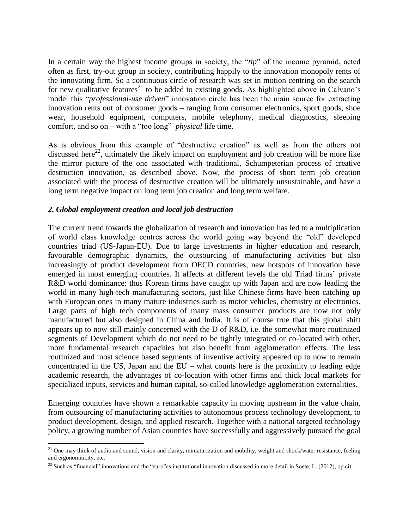In a certain way the highest income groups in society, the "*tip*" of the income pyramid, acted often as first, try-out group in society, contributing happily to the innovation monopoly rents of the innovating firm. So a continuous circle of research was set in motion centring on the search for new qualitative features<sup>21</sup> to be added to existing goods. As highlighted above in Calvano's model this "*professional-use driven*" innovation circle has been the main source for extracting innovation rents out of consumer goods – ranging from consumer electronics, sport goods, shoe wear, household equipment, computers, mobile telephony, medical diagnostics, sleeping comfort, and so on – with a "too long" *physical* life time.

As is obvious from this example of "destructive creation" as well as from the others not discussed here<sup>22</sup>, ultimately the likely impact on employment and job creation will be more like the mirror picture of the one associated with traditional, Schumpeterian process of creative destruction innovation, as described above. Now, the process of short term job creation associated with the process of destructive creation will be ultimately unsustainable, and have a long term negative impact on long term job creation and long term welfare.

## *2. Global employment creation and local job destruction*

The current trend towards the globalization of research and innovation has led to a multiplication of world class knowledge centres across the world going way beyond the "old" developed countries triad (US-Japan-EU). Due to large investments in higher education and research, favourable demographic dynamics, the outsourcing of manufacturing activities but also increasingly of product development from OECD countries, new hotspots of innovation have emerged in most emerging countries. It affects at different levels the old Triad firms" private R&D world dominance: thus Korean firms have caught up with Japan and are now leading the world in many high-tech manufacturing sectors, just like Chinese firms have been catching up with European ones in many mature industries such as motor vehicles, chemistry or electronics. Large parts of high tech components of many mass consumer products are now not only manufactured but also designed in China and India. It is of course true that this global shift appears up to now still mainly concerned with the D of R&D, i.e. the somewhat more routinized segments of Development which do not need to be tightly integrated or co-located with other, more fundamental research capacities but also benefit from agglomeration effects. The less routinized and most science based segments of inventive activity appeared up to now to remain concentrated in the US, Japan and the  $EU$  – what counts here is the proximity to leading edge academic research, the advantages of co-location with other firms and thick local markets for specialized inputs, services and human capital, so-called knowledge agglomeration externalities.

Emerging countries have shown a remarkable capacity in moving upstream in the value chain, from outsourcing of manufacturing activities to autonomous process technology development, to product development, design, and applied research. Together with a national targeted technology policy, a growing number of Asian countries have successfully and aggressively pursued the goal

 $\overline{a}$ <sup>21</sup> One may think of audio and sound, vision and clarity, miniaturization and mobility, weight and shock/water resistance, feeling and ergonomiticity, etc.

 $22$  Such as "financial" innovations and the "euro" as institutional innovation discussed in more detail in Soete, L. (2012), op.cit.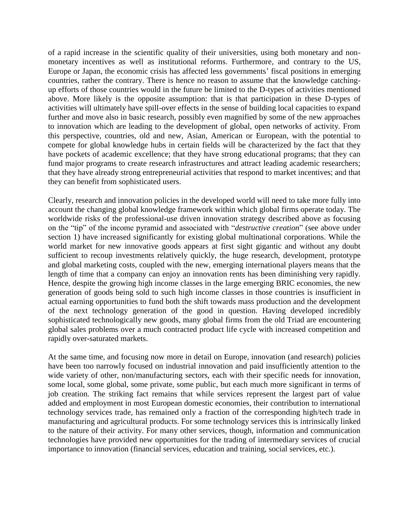of a rapid increase in the scientific quality of their universities, using both monetary and nonmonetary incentives as well as institutional reforms. Furthermore, and contrary to the US, Europe or Japan, the economic crisis has affected less governments' fiscal positions in emerging countries, rather the contrary. There is hence no reason to assume that the knowledge catchingup efforts of those countries would in the future be limited to the D-types of activities mentioned above. More likely is the opposite assumption: that is that participation in these D-types of activities will ultimately have spill-over effects in the sense of building local capacities to expand further and move also in basic research, possibly even magnified by some of the new approaches to innovation which are leading to the development of global, open networks of activity. From this perspective, countries, old and new, Asian, American or European, with the potential to compete for global knowledge hubs in certain fields will be characterized by the fact that they have pockets of academic excellence; that they have strong educational programs; that they can fund major programs to create research infrastructures and attract leading academic researchers; that they have already strong entrepreneurial activities that respond to market incentives; and that they can benefit from sophisticated users.

Clearly, research and innovation policies in the developed world will need to take more fully into account the changing global knowledge framework within which global firms operate today. The worldwide risks of the professional-use driven innovation strategy described above as focusing on the "tip" of the income pyramid and associated with "*destructive creation*" (see above under section 1) have increased significantly for existing global multinational corporations. While the world market for new innovative goods appears at first sight gigantic and without any doubt sufficient to recoup investments relatively quickly, the huge research, development, prototype and global marketing costs, coupled with the new, emerging international players means that the length of time that a company can enjoy an innovation rents has been diminishing very rapidly. Hence, despite the growing high income classes in the large emerging BRIC economies, the new generation of goods being sold to such high income classes in those countries is insufficient in actual earning opportunities to fund both the shift towards mass production and the development of the next technology generation of the good in question. Having developed incredibly sophisticated technologically new goods, many global firms from the old Triad are encountering global sales problems over a much contracted product life cycle with increased competition and rapidly over-saturated markets.

At the same time, and focusing now more in detail on Europe, innovation (and research) policies have been too narrowly focused on industrial innovation and paid insufficiently attention to the wide variety of other, non/manufacturing sectors, each with their specific needs for innovation, some local, some global, some private, some public, but each much more significant in terms of job creation. The striking fact remains that while services represent the largest part of value added and employment in most European domestic economies, their contribution to international technology services trade, has remained only a fraction of the corresponding high/tech trade in manufacturing and agricultural products. For some technology services this is intrinsically linked to the nature of their activity. For many other services, though, information and communication technologies have provided new opportunities for the trading of intermediary services of crucial importance to innovation (financial services, education and training, social services, etc.).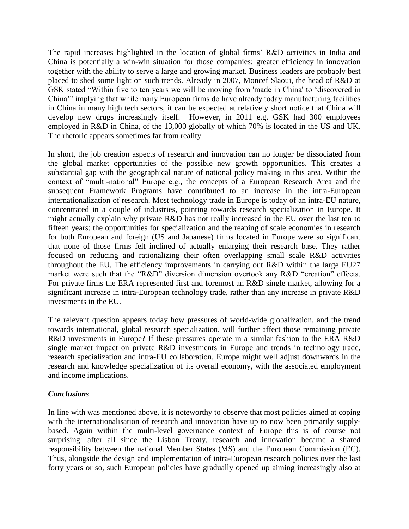The rapid increases highlighted in the location of global firms" R&D activities in India and China is potentially a win-win situation for those companies: greater efficiency in innovation together with the ability to serve a large and growing market. Business leaders are probably best placed to shed some light on such trends. Already in 2007, Moncef Slaoui, the head of R&D at GSK stated "Within five to ten years we will be moving from 'made in China' to "discovered in China"" implying that while many European firms do have already today manufacturing facilities in China in many high tech sectors, it can be expected at relatively short notice that China will develop new drugs increasingly itself. However, in 2011 e.g. GSK had 300 employees employed in R&D in China, of the 13,000 globally of which 70% is located in the US and UK. The rhetoric appears sometimes far from reality.

In short, the job creation aspects of research and innovation can no longer be dissociated from the global market opportunities of the possible new growth opportunities. This creates a substantial gap with the geographical nature of national policy making in this area. Within the context of "multi-national" Europe e.g., the concepts of a European Research Area and the subsequent Framework Programs have contributed to an increase in the intra-European internationalization of research. Most technology trade in Europe is today of an intra-EU nature, concentrated in a couple of industries, pointing towards research specialization in Europe. It might actually explain why private R&D has not really increased in the EU over the last ten to fifteen years: the opportunities for specialization and the reaping of scale economies in research for both European and foreign (US and Japanese) firms located in Europe were so significant that none of those firms felt inclined of actually enlarging their research base. They rather focused on reducing and rationalizing their often overlapping small scale R&D activities throughout the EU. The efficiency improvements in carrying out R&D within the large EU27 market were such that the "R&D" diversion dimension overtook any R&D "creation" effects. For private firms the ERA represented first and foremost an R&D single market, allowing for a significant increase in intra-European technology trade, rather than any increase in private R&D investments in the EU.

The relevant question appears today how pressures of world-wide globalization, and the trend towards international, global research specialization, will further affect those remaining private R&D investments in Europe? If these pressures operate in a similar fashion to the ERA R&D single market impact on private R&D investments in Europe and trends in technology trade, research specialization and intra-EU collaboration, Europe might well adjust downwards in the research and knowledge specialization of its overall economy, with the associated employment and income implications.

### *Conclusions*

In line with was mentioned above, it is noteworthy to observe that most policies aimed at coping with the internationalisation of research and innovation have up to now been primarily supplybased. Again within the multi-level governance context of Europe this is of course not surprising: after all since the Lisbon Treaty, research and innovation became a shared responsibility between the national Member States (MS) and the European Commission (EC). Thus, alongside the design and implementation of intra-European research policies over the last forty years or so, such European policies have gradually opened up aiming increasingly also at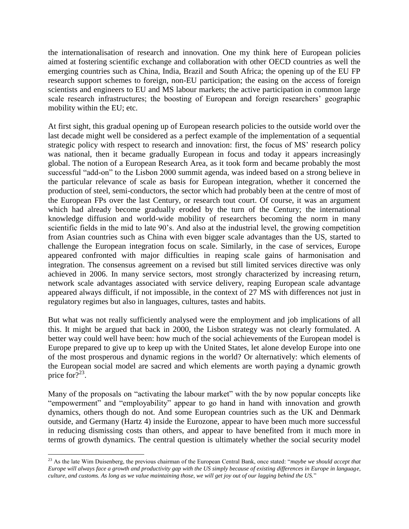the internationalisation of research and innovation. One my think here of European policies aimed at fostering scientific exchange and collaboration with other OECD countries as well the emerging countries such as China, India, Brazil and South Africa; the opening up of the EU FP research support schemes to foreign, non-EU participation; the easing on the access of foreign scientists and engineers to EU and MS labour markets; the active participation in common large scale research infrastructures; the boosting of European and foreign researchers' geographic mobility within the EU; etc.

At first sight, this gradual opening up of European research policies to the outside world over the last decade might well be considered as a perfect example of the implementation of a sequential strategic policy with respect to research and innovation: first, the focus of MS' research policy was national, then it became gradually European in focus and today it appears increasingly global. The notion of a European Research Area, as it took form and became probably the most successful "add-on" to the Lisbon 2000 summit agenda, was indeed based on a strong believe in the particular relevance of scale as basis for European integration, whether it concerned the production of steel, semi-conductors, the sector which had probably been at the centre of most of the European FPs over the last Century, or research tout court. Of course, it was an argument which had already become gradually eroded by the turn of the Century; the international knowledge diffusion and world-wide mobility of researchers becoming the norm in many scientific fields in the mid to late 90"s. And also at the industrial level, the growing competition from Asian countries such as China with even bigger scale advantages than the US, started to challenge the European integration focus on scale. Similarly, in the case of services, Europe appeared confronted with major difficulties in reaping scale gains of harmonisation and integration. The consensus agreement on a revised but still limited services directive was only achieved in 2006. In many service sectors, most strongly characterized by increasing return, network scale advantages associated with service delivery, reaping European scale advantage appeared always difficult, if not impossible, in the context of 27 MS with differences not just in regulatory regimes but also in languages, cultures, tastes and habits.

But what was not really sufficiently analysed were the employment and job implications of all this. It might be argued that back in 2000, the Lisbon strategy was not clearly formulated. A better way could well have been: how much of the social achievements of the European model is Europe prepared to give up to keep up with the United States, let alone develop Europe into one of the most prosperous and dynamic regions in the world? Or alternatively: which elements of the European social model are sacred and which elements are worth paying a dynamic growth price for  $\overline{?}^{23}$ .

Many of the proposals on "activating the labour market" with the by now popular concepts like "empowerment" and "employability" appear to go hand in hand with innovation and growth dynamics, others though do not. And some European countries such as the UK and Denmark outside, and Germany (Hartz 4) inside the Eurozone, appear to have been much more successful in reducing dismissing costs than others, and appear to have benefited from it much more in terms of growth dynamics. The central question is ultimately whether the social security model

<sup>23</sup> As the late Wim Duisenberg, the previous chairman of the European Central Bank, once stated: "*maybe we should accept that Europe will always face a growth and productivity gap with the US simply because of existing differences in Europe in language, culture, and customs. As long as we value maintaining those, we will get joy out of our lagging behind the US.*"